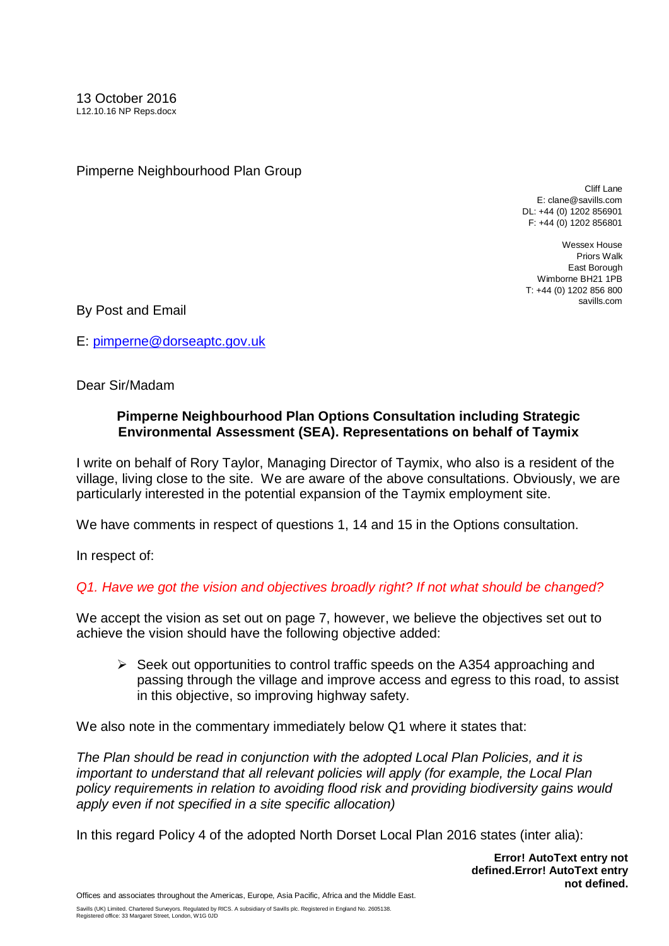Pimperne Neighbourhood Plan Group

Cliff Lane E: clane@savills.com DL: +44 (0) 1202 856901 F: +44 (0) 1202 856801

Wessex House Priors Walk East Borough Wimborne BH21 1PB T: +44 (0) 1202 856 800 savills.com

By Post and Email

E: [pimperne@dorseaptc.gov.uk](mailto:pimperne@dorseaptc.gov.uk)

Dear Sir/Madam

## **Pimperne Neighbourhood Plan Options Consultation including Strategic Environmental Assessment (SEA). Representations on behalf of Taymix**

I write on behalf of Rory Taylor, Managing Director of Taymix, who also is a resident of the village, living close to the site. We are aware of the above consultations. Obviously, we are particularly interested in the potential expansion of the Taymix employment site.

We have comments in respect of questions 1, 14 and 15 in the Options consultation.

In respect of:

## *Q1. Have we got the vision and objectives broadly right? If not what should be changed?*

We accept the vision as set out on page 7, however, we believe the objectives set out to achieve the vision should have the following objective added:

 $\triangleright$  Seek out opportunities to control traffic speeds on the A354 approaching and passing through the village and improve access and egress to this road, to assist in this objective, so improving highway safety.

We also note in the commentary immediately below Q1 where it states that:

*The Plan should be read in conjunction with the adopted Local Plan Policies, and it is important to understand that all relevant policies will apply (for example, the Local Plan policy requirements in relation to avoiding flood risk and providing biodiversity gains would apply even if not specified in a site specific allocation)*

In this regard Policy 4 of the adopted North Dorset Local Plan 2016 states (inter alia):

**Error! AutoText entry not defined.Error! AutoText entry not defined.**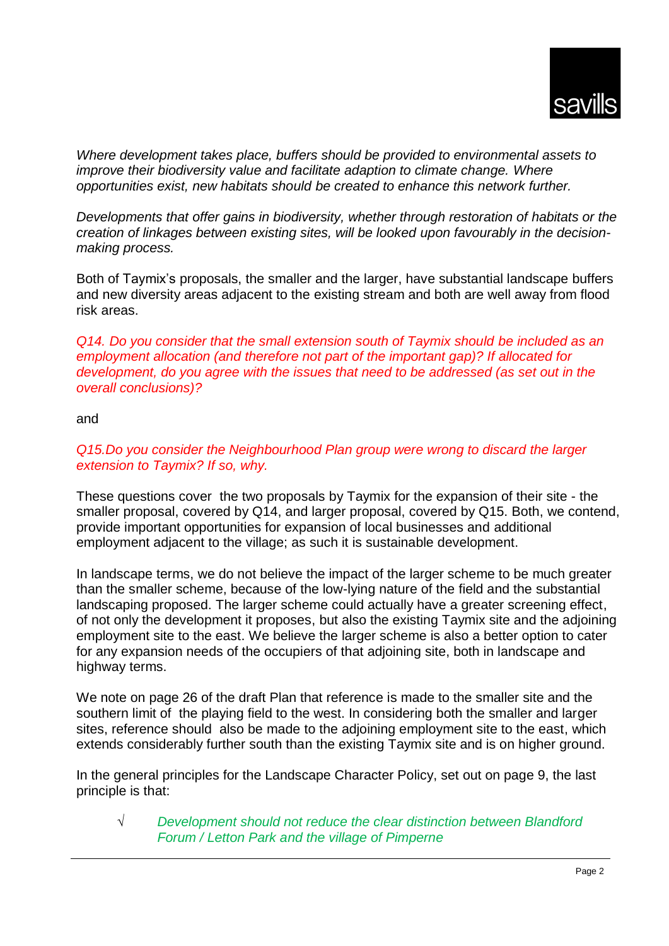*Where development takes place, buffers should be provided to environmental assets to improve their biodiversity value and facilitate adaption to climate change. Where opportunities exist, new habitats should be created to enhance this network further.*

*Developments that offer gains in biodiversity, whether through restoration of habitats or the creation of linkages between existing sites, will be looked upon favourably in the decisionmaking process.*

Both of Taymix's proposals, the smaller and the larger, have substantial landscape buffers and new diversity areas adjacent to the existing stream and both are well away from flood risk areas.

*Q14. Do you consider that the small extension south of Taymix should be included as an employment allocation (and therefore not part of the important gap)? If allocated for development, do you agree with the issues that need to be addressed (as set out in the overall conclusions)?*

and

## *Q15.Do you consider the Neighbourhood Plan group were wrong to discard the larger extension to Taymix? If so, why.*

These questions cover the two proposals by Taymix for the expansion of their site - the smaller proposal, covered by Q14, and larger proposal, covered by Q15. Both, we contend, provide important opportunities for expansion of local businesses and additional employment adjacent to the village; as such it is sustainable development.

In landscape terms, we do not believe the impact of the larger scheme to be much greater than the smaller scheme, because of the low-lying nature of the field and the substantial landscaping proposed. The larger scheme could actually have a greater screening effect, of not only the development it proposes, but also the existing Taymix site and the adjoining employment site to the east. We believe the larger scheme is also a better option to cater for any expansion needs of the occupiers of that adjoining site, both in landscape and highway terms.

We note on page 26 of the draft Plan that reference is made to the smaller site and the southern limit of the playing field to the west. In considering both the smaller and larger sites, reference should also be made to the adjoining employment site to the east, which extends considerably further south than the existing Taymix site and is on higher ground.

In the general principles for the Landscape Character Policy, set out on page 9, the last principle is that:

√ *Development should not reduce the clear distinction between Blandford Forum / Letton Park and the village of Pimperne*